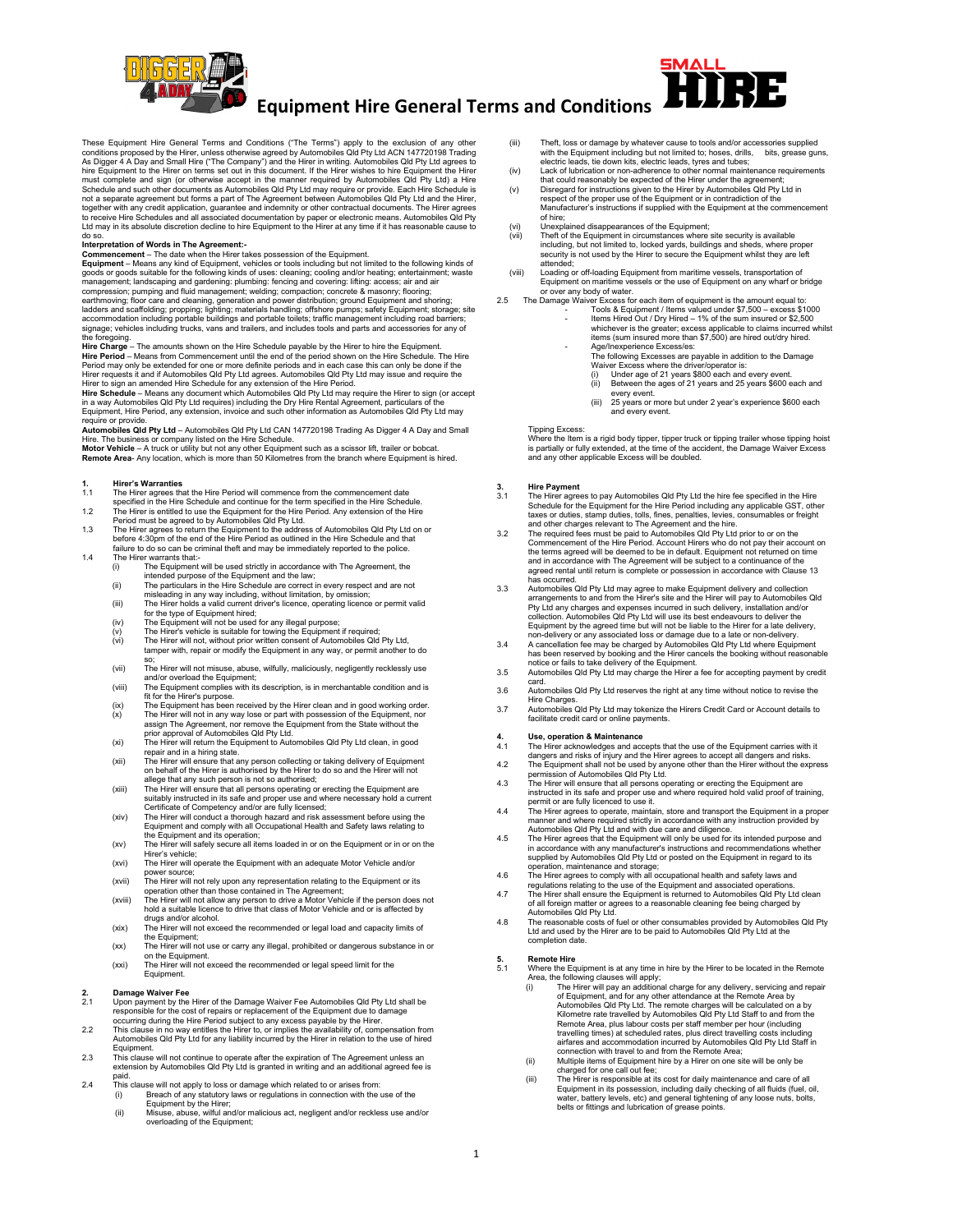

# **Equipment Hire General Terms and Conditions**

These Equipment Hire General Terms and Conditions ("The Terms") apply to the exclusion of any other conditions proposed by the Hirer, unless otherwise agreed by Automobiles Qld Ply Ltd ACN 147720198 Trading As Digger 4 A D not a separate agreement but forms a part of The Agreement between Automobiles Qld Pty Ltd and the Hirer,<br>together with any credit application, guarantee and indemnity or other contractual documents. The Hirer agrees<br>to re do so.

Interpretation of Words in The Agreement:<br>Commencement – The date when the Hirer takes possession of the Equipment.<br>Equipment – Means any kind of Equipment, vehicles or tools including but not limited to the following kind compression; pumping and fluid management; welding; compaction; concrete & masonry; flooring;<br>earthmoving; floor care and cleaning, generation and power distribution; ground Equipment and shoring;<br>ladders and scaffolding; the foregoing.

**Hire Charge** – The amounts shown on the Hire Schedule payable by the Hirer to hire the Equipment. **Hire Period** – Means from Commencement until the end of the period shown on the Hire Schedule. The Hire<br>Period may only be extended for one or more definite periods and in each case this can only be done if the

Hirer requests it and if Automobiles Qid Pty Ltd agrees. Automobiles Qid Pty Ltd may issue and require the<br>Hirer to sign an amended Hire Schedule for any extension of the Hire Period.<br>Hire Schedule – Means any document whi require or provide.

**Automobiles Qld Pty Ltd** – Automobiles Qld Pty Ltd CAN 147720198 Trading As Digger 4 A Day and Small<br>Hire. The business or company listed on the Hire Schedule.<br>**Motor Vehicle** – A truck or utility but not any other Equipm

**Remote Area**- Any location, which is more than 50 Kilometres from the branch where Equipment is hired.

# **1. Hirer's Warranties**<br>**1.1** The Hirer agrees the

- 1.1 The Hirer agrees that the Hire Period will commence from the commencement date specified in the Hire Schedule and continue for the term specified in the Hire Schedule.
- 
- 1.2 The Hirer is entitled to use the Equipment for the Hire Period. Any extension of the Hire<br>Period must be agreed to by Automobiles Qld Pty Ltd.<br>1.3 The Hirer agrees to return the Equipment to the address of Automobiles
- failure to do so can be criminal theft and may be immediately reported to the police. 1.4 The Hirer warrants that:<br>(i) The Equipment
	- r warrants that.<br>The Equipment will be used strictly in accordance with The Agreement, the intended purpose of the Equipment and the law; (ii) The particulars in the Hire Schedule are correct in every respect and are not
	- misleading in any way including, without limitation, by omission; (iii) The Hirer holds a valid current driver's licence, operating licence or permit valid
	- for the type of Equipment hired:
	- $(iv)$  The Equipment will not be used for any illegal purpose;
	- (v) The Hirer's vehicle is suitable for towing the Equipment if required; (vi) The Hirer will not, without prior written consent of Automobiles Qld Pty Ltd,
	- tamper with, repair or modify the Equipment in any way, or permit another to do so; (vii) The Hirer will not misuse, abuse, wilfully, maliciously, negligently recklessly use
	- and/or overload the Equipment; (viii) The Equipment complies with its description, is in merchantable condition and is
	- fit for the Hirer's purpose.
	- (ix) The Equipment has been received by the Hirer clean and in good working order.<br>(x) The Hirer will not in any way lose or part with possession of the Equipment, nor<br>assign The Agreement, nor remove the Equipment from th
	- prior approval of Automobiles Qld Pty Ltd. (xi) The Hirer will return the Equipment to Automobiles Qld Pty Ltd clean, in good repair and in a hiring state.
	- (xii) The Hirer will ensure that any person collecting or taking delivery of Equipment<br>on behalf of the Hirer is authorised by the Hirer to do so and the Hirer will not<br>allege that any such person is not so authorised;<br>(xi
	-
	- suitably instructed in its safe and proper use and where necessary hold a current<br>Certificate of Competency and/or are fully licensed;<br>The Hirer will conduct a thorough hazard and risk assessment before using the<br>Equipment
	- (xv) The Hirer will safely secure all items loaded in or on the Equipment or in or on the Hirer's vehicle; (xvi) The Hirer will operate the Equipment with an adequate Motor Vehicle and/or
	- power source;
	- (xvii) The Hirer will not rely upon any representation relating to the Equipment or its operation other than those contained in The Agreement; (xviii) The Hirer will not allow any person to drive a Motor Vehicle if the person does not
	- hold a suitable licence to drive that class of Motor Vehicle and or is affected by drugs and/or alcohol. (xix) The Hirer will not exceed the recommended or legal load and capacity limits of
	- the Equipment; (xx) The Hirer will not use or carry any illegal, prohibited or dangerous substance in or
	- on the Equipment. (xxi) The Hirer will not exceed the recommended or legal speed limit for the
	- Equipment.

# **2. Damage Waiver Fee**<br>2.1 Upon payment by the

- 2.1 Upon payment by the Hirer of the Damage Waiver Fee Automobiles Qld Pty Ltd shall be responsible for the cost of repairs or replacement of the Equipment due to damage
- occurring during the Hire Period subject to any excess payable by the Hirer.<br>2.2 This clause in no way entitles the Hirer to, or implies the availability of, compensation from<br>Automobiles Qld Pty Ltd for any liabil Equipment.
- 2.3 This clause will not continue to operate after the expiration of The Agreement unless an extension by Automobiles Qld Pty Ltd is granted in writing and an additional agreed fee is
- paid. 2.4 This clause will not apply to loss or damage which related to or arises from:
	- (i) Breach of any statutory laws or regulations in connection with the use of the Equipment by the Hirer; (ii) Misuse, abuse, wilful and/or malicious act, negligent and/or reckless use and/or overloading of the Equipment;
- (iii) Theft, loss or damage by whatever cause to tools and/or accessories supplied with the Equipment including but not limited to; hoses, drills, bits, grease guns, electric leads, tie down kits, electric leads, tyres and tubes;
- (iv) Lack of lubrication or non-adherence to other normal maintenance requirements that could reasonably be expected of the Hirer under the agreement; (v) Disregard for instructions given to the Hirer by Automobiles Qld Pty Ltd in
- respect of the proper use of the Equipment or in contradiction of the Manufacturer's instructions if supplied with the Equipment at the commencement
- of hire; (vi) Unexplained disappearances of the Equipment; (vii) Theft of the Equipment in circumstances where site security is available
- including, but not limited to, locked yards, buildings and sheds, where proper security is not used by the Hirer to secure the Equipment whilst they are left attended; (viii) Loading or off-loading Equipment from maritime vessels, transportation of
- Equipment on maritime vessels or the use of Equipment on any wharf or bridge
- or over any body of water. 2.5 The Damage Waiver Excess for each item of equipment is the amount equal to: Tools & Equipment / Items valued under \$7,500 – excess \$1000 - Items Hired Out / Dry Hired – 1% of the sum insured or \$2,500 whichever is the greater; excess applicable to claims incurred whilst items (sum insured more than \$7,500) are hired out/dry hired.
	- Age/Inexperience Excess/es:
		- The following Excesses are payable in addition to the Damage<br>Waiver Excess where the driver/operator is:<br>(i) Under age of 21 years \$800 each and every event.<br>(ii) Between the ages of 21 years and 25 years \$600 each
		-
		- every event. (iii) 25 years or more but under 2 year's experience \$600 each and every event.

### Tipping Excess:

Where the Item is a rigid body tipper, tipper truck or tipping trailer whose tipping hoist is partially or fully extended, at the time of the accident, the Damage Waiver Excess and any other applicable Excess will be doubled.

- 3. Hire Payment<br>3.1 The Hire agrees to pay Automobiles Qld Pty Ltd the hire fee specified in the Hire<br>5.1 Schedule for the Equipment for the Hire Period including any applicable GST, other<br>taxes or duties, stamp duties, to
- and other charges relevant to The Agreement and the hire.<br>3.2 The required fees must be paid to Automobiles Qld Pty Ltd prior to or on the<br>Commencement of the Hire Period. Account Hirers who do not pay their account on the terms agreed will be deemed to be in default. Equipment not returned on time and in accordance with The Agreement will be subject to a continuance of the agreed rental until return is complete or possession in accordance with Clause 13 has occurred.
- 3.3 Automobiles Qld Pty Ltd may agree to make Equipment delivery and collection<br>arrangements to and from the Hirer's site and the Hirer will pay to Automobiles Qld<br>Pty Ltd any charges and expenses incurred in such delivery Equipment by the agreed time but will not be liable to the Hirer for a late delivery,
- non-delivery or any associated loss or damage due to a late or non-delivery.<br>3.4 A cancellation fee may be charged by Automobiles QId Pty Ltd where Equipment<br>has been reserved by booking and the Hirer cancels the booking w notice or fails to take delivery of the Equipment. 3.5 Automobiles Qld Pty Ltd may charge the Hirer a fee for accepting payment by credit
- card. 3.6 Automobiles Qld Pty Ltd reserves the right at any time without notice to revise the
- Hire Charges. 3.7 Automobiles Qld Pty Ltd may tokenize the Hirers Credit Card or Account details to
- facilitate credit card or online payments.

### **4. Use, operation & Maintenance**

- 
- 4.1 The Hirer acknowledges and accepts that the use of the Equipment carries with it<br>Glangers and risks of injury and the Hirer agrees to accept all dangers and risks.<br>4.2 The Equipment shall not be used by anyone other t
- permission of Automobiles Qld Pty Ltd.<br>4.3 The Hirer will ensure that all persons operating or erecting the Equipment are<br>instructed in its safe and proper use and where required hold valid proof of training, permit or are fully licenced to use it.
- 4.4 The Hirer agrees to operate, maintain, store and transport the Equipment in a proper<br>manner and where required strictly in accordance with any instruction provided by<br>Automobiles Qld Pty Ltd and with due care and dilig
- 4.5 The Hirer agrees that the Equipment will only be used for its intended purpose and in accordance with any manufacturer's instructions and recommendations whether supplied by Automobiles Qld Pty Ltd or posted on the Equipment in regard to its operation, maintenance and storage; 4.6 The Hirer agrees to comply with all occupational health and safety laws and
- 
- regulations relating to the use of the Equipment and associated operations.<br>4.7 The Hirer shall ensure the Equipment is returned to Automobiles Qld Pty Ltd clean<br>of all foreign matter or agrees to a reasonable cleaning fee Automobiles Qld Pty Ltd.
- 4.8 The reasonable costs of fuel or other consumables provided by Automobiles Qld Pty Ltd and used by the Hirer are to be paid to Automobiles Qld Pty Ltd at the completion date.

# **5. Remote Hire 5.1 Where the Eq.**

- 5.1 Where the Equipment is at any time in hire by the Hirer to be located in the Remote Area, the following clauses will apply; (i) The Hirer will pay an additional charge for any delivery, servicing and repair
	- of Equipment, and for any other attendance at the Remote Area by<br>Automobiles Qld Pty Ltd. The remote charges will be calculated on a by<br>Kilometre rate travelled by Automobiles Qld Pty Ltd Staff to and from the<br>Remote Area, travelling times) at scheduled rates, plus direct travelling costs including airfares and accommodation incurred by Automobiles Qld Pty Ltd Staff in connection with travel to and from the Remote Area; (ii) Multiple items of Equipment hire by a Hirer on one site will be only be
	-
	- charged for one call out fee;<br>iii) The Hirer is responsible at its cost for daily maintenance and care of all<br>Equipment in its possession, including daily checking of all fluids (fuel, oil, water, battery levels, etc) and general tightening of any loose nuts, bolts, belts or fittings and lubrication of grease points.